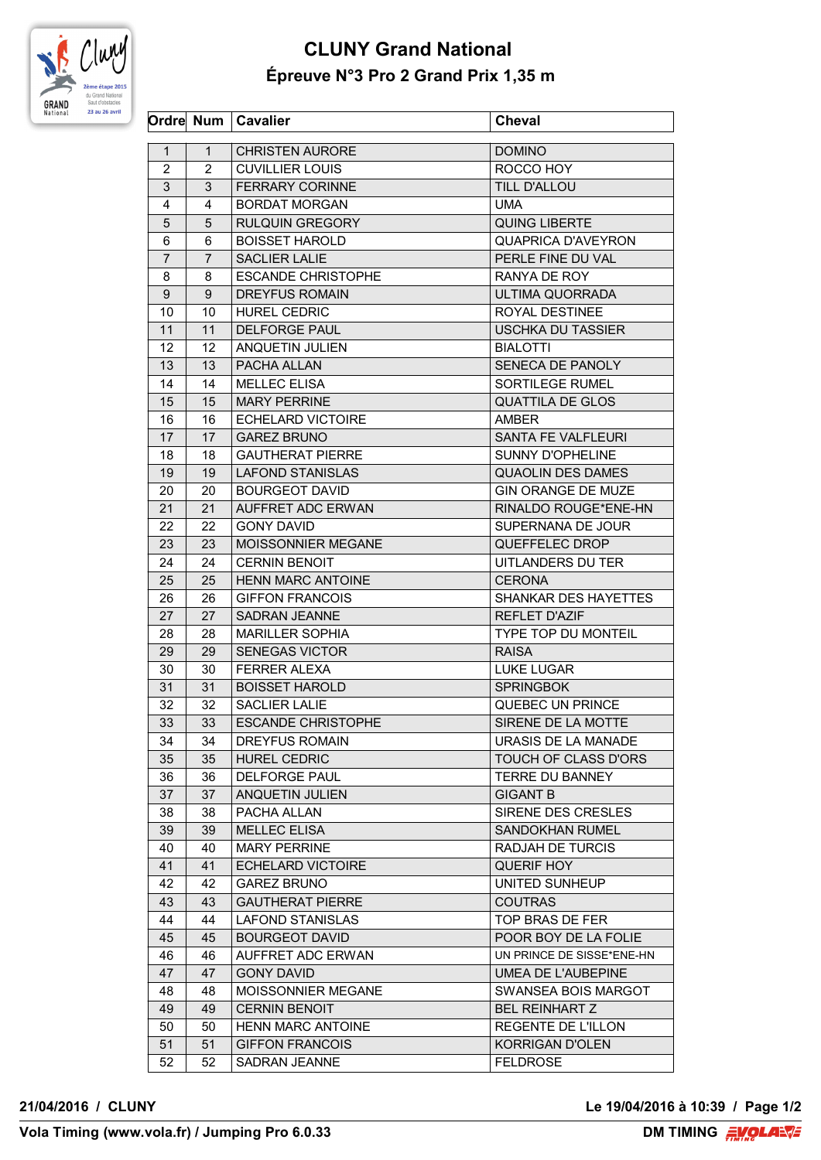

## **CLUNY Grand National Épreuve N°3 Pro 2 Grand Prix 1,35 m**

|                |                | Ordre Num   Cavalier      | <b>Cheval</b>              |
|----------------|----------------|---------------------------|----------------------------|
| $\mathbf{1}$   | 1              | <b>CHRISTEN AURORE</b>    | <b>DOMINO</b>              |
| 2              | 2              | <b>CUVILLIER LOUIS</b>    | ROCCO HOY                  |
| 3              | 3              | <b>FERRARY CORINNE</b>    | <b>TILL D'ALLOU</b>        |
| 4              | 4              | <b>BORDAT MORGAN</b>      | UMA                        |
| 5              | 5              | <b>RULQUIN GREGORY</b>    | <b>QUING LIBERTE</b>       |
| 6              | 6              | <b>BOISSET HAROLD</b>     | QUAPRICA D'AVEYRON         |
| $\overline{7}$ | $\overline{7}$ | <b>SACLIER LALIE</b>      | PERLE FINE DU VAL          |
| 8              | 8              | <b>ESCANDE CHRISTOPHE</b> | RANYA DE ROY               |
| 9              | 9              | <b>DREYFUS ROMAIN</b>     | ULTIMA QUORRADA            |
| 10             | 10             | HUREL CEDRIC              | ROYAL DESTINEE             |
| 11             | 11             | <b>DELFORGE PAUL</b>      | <b>USCHKA DU TASSIER</b>   |
| 12             | 12             | ANQUETIN JULIEN           | <b>BIALOTTI</b>            |
| 13             | 13             | PACHA ALLAN               | SENECA DE PANOLY           |
|                |                |                           |                            |
| 14             | 14             | <b>MELLEC ELISA</b>       | SORTILEGE RUMEL            |
| 15             | 15             | <b>MARY PERRINE</b>       | <b>QUATTILA DE GLOS</b>    |
| 16             | 16             | <b>ECHELARD VICTOIRE</b>  | AMBER                      |
| 17             | 17             | <b>GAREZ BRUNO</b>        | SANTA FE VALFLEURI         |
| 18             | 18             | <b>GAUTHERAT PIERRE</b>   | <b>SUNNY D'OPHELINE</b>    |
| 19             | 19             | <b>LAFOND STANISLAS</b>   | <b>QUAOLIN DES DAMES</b>   |
| 20             | 20             | <b>BOURGEOT DAVID</b>     | <b>GIN ORANGE DE MUZE</b>  |
| 21             | 21             | AUFFRET ADC ERWAN         | RINALDO ROUGE*ENE-HN       |
| 22             | 22             | <b>GONY DAVID</b>         | SUPERNANA DE JOUR          |
| 23             | 23             | MOISSONNIER MEGANE        | QUEFFELEC DROP             |
| 24             | 24             | <b>CERNIN BENOIT</b>      | UITLANDERS DU TER          |
| 25             | 25             | <b>HENN MARC ANTOINE</b>  | <b>CERONA</b>              |
| 26             | 26             | <b>GIFFON FRANCOIS</b>    | SHANKAR DES HAYETTES       |
| 27             | 27             | <b>SADRAN JEANNE</b>      | <b>REFLET D'AZIF</b>       |
| 28             | 28             | <b>MARILLER SOPHIA</b>    | <b>TYPE TOP DU MONTEIL</b> |
| 29             | 29             | <b>SENEGAS VICTOR</b>     | <b>RAISA</b>               |
| 30             | 30             | <b>FERRER ALEXA</b>       | <b>LUKE LUGAR</b>          |
| 31             | 31             | <b>BOISSET HAROLD</b>     | <b>SPRINGBOK</b>           |
| 32             | 32             | <b>SACLIER LALIE</b>      | QUEBEC UN PRINCE           |
| 33             | 33             | <b>ESCANDE CHRISTOPHE</b> | SIRENE DE LA MOTTE         |
| 34             | 34             | DREYFUS ROMAIN            | URASIS DE LA MANADE        |
| 35             | 35             | <b>HUREL CEDRIC</b>       | TOUCH OF CLASS D'ORS       |
| 36             | 36             | DELFORGE PAUL             | TERRE DU BANNEY            |
| 37             | 37             | ANQUETIN JULIEN           | <b>GIGANT B</b>            |
| 38             | 38             | PACHA ALLAN               | SIRENE DES CRESLES         |
| 39             | 39             | <b>MELLEC ELISA</b>       | <b>SANDOKHAN RUMEL</b>     |
| 40             | 40             | <b>MARY PERRINE</b>       | RADJAH DE TURCIS           |
| 41             | 41             | <b>ECHELARD VICTOIRE</b>  | <b>QUERIF HOY</b>          |
| 42             | 42             | <b>GAREZ BRUNO</b>        | UNITED SUNHEUP             |
| 43             | 43             | <b>GAUTHERAT PIERRE</b>   | <b>COUTRAS</b>             |
| 44             | 44             | LAFOND STANISLAS          | TOP BRAS DE FER            |
| 45             | 45             | <b>BOURGEOT DAVID</b>     | POOR BOY DE LA FOLIE       |
| 46             | 46             | AUFFRET ADC ERWAN         | UN PRINCE DE SISSE*ENE-HN  |
| 47             | 47             | <b>GONY DAVID</b>         | UMEA DE L'AUBEPINE         |
| 48             | 48             | MOISSONNIER MEGANE        | SWANSEA BOIS MARGOT        |
| 49             | 49             | <b>CERNIN BENOIT</b>      | <b>BEL REINHART Z</b>      |
| 50             | 50             | <b>HENN MARC ANTOINE</b>  | REGENTE DE L'ILLON         |
| 51             | 51             | <b>GIFFON FRANCOIS</b>    | <b>KORRIGAN D'OLEN</b>     |
| 52             | 52             | SADRAN JEANNE             | <b>FELDROSE</b>            |
|                |                |                           |                            |

**21/04/2016 / CLUNY Le 19/04/2016 à 10:39 / Page 1/2**